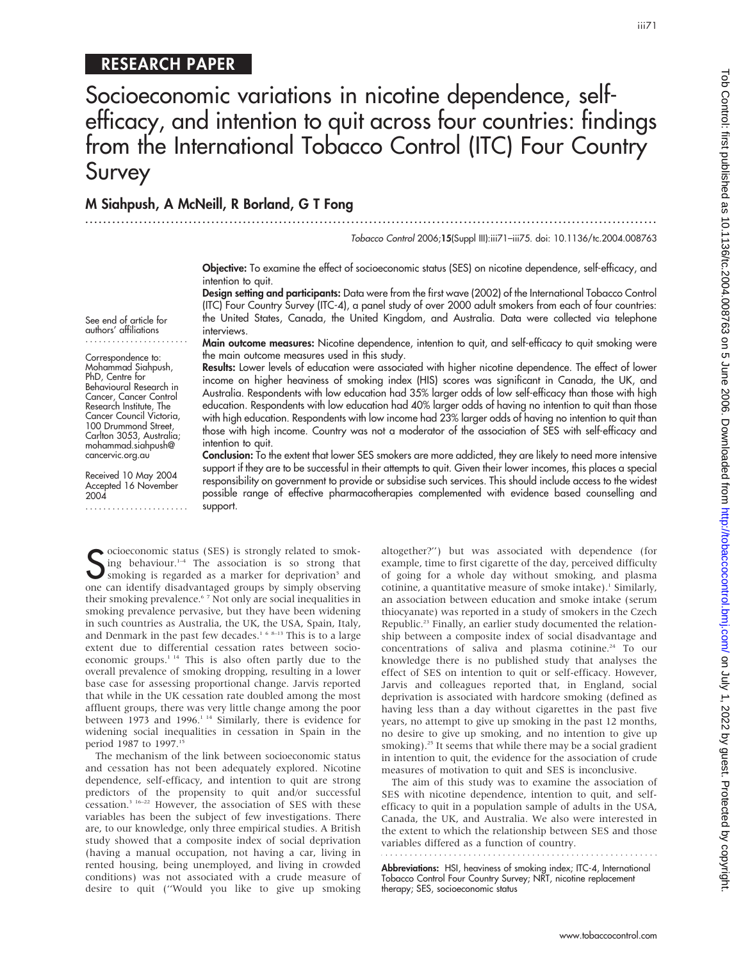# RESEARCH PAPER

See end of article for authors' affiliations ....................... Correspondence to: Mohammad Siahpush, PhD, Centre for Behavioural Research in Cancer, Cancer Control Research Institute, The Cancer Council Victoria, 100 Drummond Street, Carlton 3053, Australia; mohammad.siahpush@ cancervic.org.au Received 10 May 2004 Accepted 16 November

2004

.......................

Socioeconomic variations in nicotine dependence, selfefficacy, and intention to quit across four countries: findings from the International Tobacco Control (ITC) Four Country Survey

### M Siahpush, A McNeill, R Borland, G T Fong .............................................................................................................................. .

Tobacco Control 2006;15(Suppl III):iii71–iii75. doi: 10.1136/tc.2004.008763

Objective: To examine the effect of socioeconomic status (SES) on nicotine dependence, self-efficacy, and intention to quit.

Design setting and participants: Data were from the first wave (2002) of the International Tobacco Control (ITC) Four Country Survey (ITC-4), a panel study of over 2000 adult smokers from each of four countries: the United States, Canada, the United Kingdom, and Australia. Data were collected via telephone interviews.

Main outcome measures: Nicotine dependence, intention to quit, and self-efficacy to quit smoking were the main outcome measures used in this study.

Results: Lower levels of education were associated with higher nicotine dependence. The effect of lower income on higher heaviness of smoking index (HIS) scores was significant in Canada, the UK, and Australia. Respondents with low education had 35% larger odds of low self-efficacy than those with high education. Respondents with low education had 40% larger odds of having no intention to quit than those with high education. Respondents with low income had 23% larger odds of having no intention to quit than those with high income. Country was not a moderator of the association of SES with self-efficacy and intention to quit.

Conclusion: To the extent that lower SES smokers are more addicted, they are likely to need more intensive support if they are to be successful in their attempts to quit. Given their lower incomes, this places a special responsibility on government to provide or subsidise such services. This should include access to the widest possible range of effective pharmacotherapies complemented with evidence based counselling and support.

Socioeconomic status (SES) is strongly related to smoking<br>
simply behaviour.<sup>1-4</sup> The association is so strong that<br>
smoking is regarded as a marker for deprivation<sup>5</sup> and<br>
one can identify disclustated groups by simply ob ing behaviour.1–4 The association is so strong that smoking is regarded as a marker for deprivation<sup>5</sup> and one can identify disadvantaged groups by simply observing their smoking prevalence.<sup>6</sup> <sup>7</sup> Not only are social inequalities in smoking prevalence pervasive, but they have been widening in such countries as Australia, the UK, the USA, Spain, Italy, and Denmark in the past few decades.<sup>1 6 8–13</sup> This is to a large extent due to differential cessation rates between socioeconomic groups.<sup>1 14</sup> This is also often partly due to the overall prevalence of smoking dropping, resulting in a lower base case for assessing proportional change. Jarvis reported that while in the UK cessation rate doubled among the most affluent groups, there was very little change among the poor between 1973 and 1996.<sup>114</sup> Similarly, there is evidence for widening social inequalities in cessation in Spain in the period 1987 to 1997.<sup>15</sup>

The mechanism of the link between socioeconomic status and cessation has not been adequately explored. Nicotine dependence, self-efficacy, and intention to quit are strong predictors of the propensity to quit and/or successful cessation.3 16–22 However, the association of SES with these variables has been the subject of few investigations. There are, to our knowledge, only three empirical studies. A British study showed that a composite index of social deprivation (having a manual occupation, not having a car, living in rented housing, being unemployed, and living in crowded conditions) was not associated with a crude measure of desire to quit (''Would you like to give up smoking altogether?'') but was associated with dependence (for example, time to first cigarette of the day, perceived difficulty of going for a whole day without smoking, and plasma cotinine, a quantitative measure of smoke intake).<sup>1</sup> Similarly, an association between education and smoke intake (serum thiocyanate) was reported in a study of smokers in the Czech Republic.<sup>23</sup> Finally, an earlier study documented the relationship between a composite index of social disadvantage and concentrations of saliva and plasma cotinine.<sup>24</sup> To our knowledge there is no published study that analyses the effect of SES on intention to quit or self-efficacy. However, Jarvis and colleagues reported that, in England, social deprivation is associated with hardcore smoking (defined as having less than a day without cigarettes in the past five years, no attempt to give up smoking in the past 12 months, no desire to give up smoking, and no intention to give up smoking).<sup>25</sup> It seems that while there may be a social gradient in intention to quit, the evidence for the association of crude measures of motivation to quit and SES is inconclusive.

The aim of this study was to examine the association of SES with nicotine dependence, intention to quit, and selfefficacy to quit in a population sample of adults in the USA, Canada, the UK, and Australia. We also were interested in the extent to which the relationship between SES and those variables differed as a function of country.

Abbreviations: HSI, heaviness of smoking index; ITC-4, International Tobacco Control Four Country Survey; NRT, nicotine replacement therapy; SES, socioeconomic status

iii71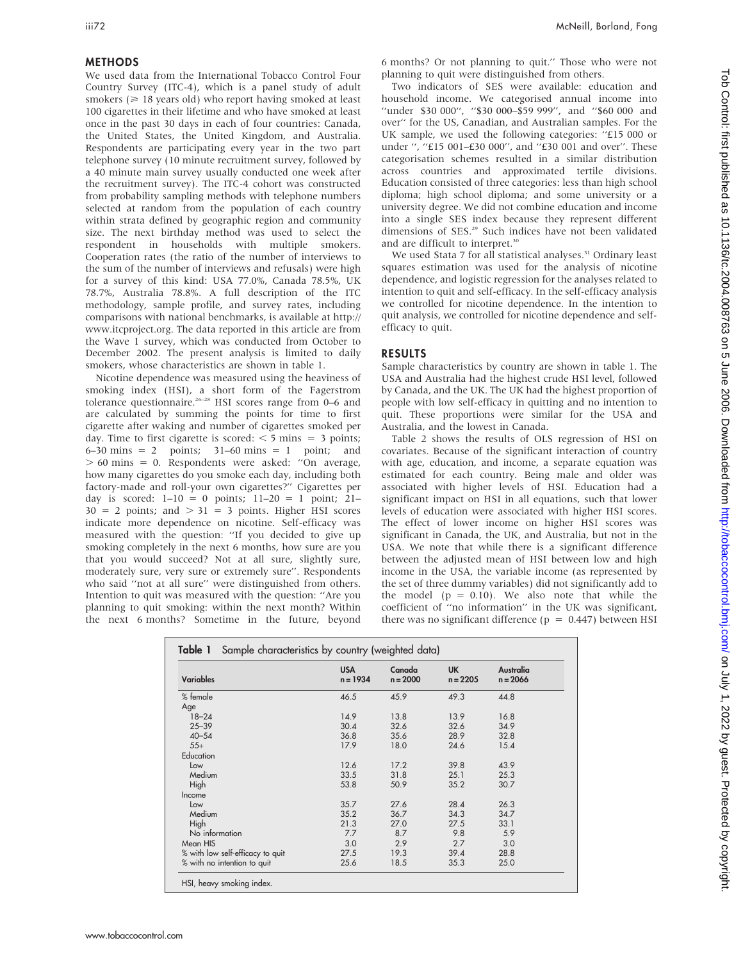#### METHODS

We used data from the International Tobacco Control Four Country Survey (ITC-4), which is a panel study of adult smokers  $\geq 18$  years old) who report having smoked at least 100 cigarettes in their lifetime and who have smoked at least once in the past 30 days in each of four countries: Canada, the United States, the United Kingdom, and Australia. Respondents are participating every year in the two part telephone survey (10 minute recruitment survey, followed by a 40 minute main survey usually conducted one week after the recruitment survey). The ITC-4 cohort was constructed from probability sampling methods with telephone numbers selected at random from the population of each country within strata defined by geographic region and community size. The next birthday method was used to select the respondent in households with multiple smokers. Cooperation rates (the ratio of the number of interviews to the sum of the number of interviews and refusals) were high for a survey of this kind: USA 77.0%, Canada 78.5%, UK 78.7%, Australia 78.8%. A full description of the ITC methodology, sample profile, and survey rates, including comparisons with national benchmarks, is available at http:// www.itcproject.org. The data reported in this article are from the Wave 1 survey, which was conducted from October to December 2002. The present analysis is limited to daily smokers, whose characteristics are shown in table 1.

Nicotine dependence was measured using the heaviness of smoking index (HSI), a short form of the Fagerstrom tolerance questionnaire.<sup>26–28</sup> HSI scores range from 0–6 and are calculated by summing the points for time to first cigarette after waking and number of cigarettes smoked per day. Time to first cigarette is scored:  $<$  5 mins = 3 points;  $6-30$  mins = 2 points;  $31-60$  mins = 1 point; and  $> 60$  mins = 0. Respondents were asked: "On average, how many cigarettes do you smoke each day, including both factory-made and roll-your own cigarettes?'' Cigarettes per day is scored:  $1-10 = 0$  points;  $11-20 = 1$  point;  $21 30 = 2$  points; and  $> 31 = 3$  points. Higher HSI scores indicate more dependence on nicotine. Self-efficacy was measured with the question: ''If you decided to give up smoking completely in the next 6 months, how sure are you that you would succeed? Not at all sure, slightly sure, moderately sure, very sure or extremely sure''. Respondents who said ''not at all sure'' were distinguished from others. Intention to quit was measured with the question: ''Are you planning to quit smoking: within the next month? Within the next 6 months? Sometime in the future, beyond

6 months? Or not planning to quit.'' Those who were not planning to quit were distinguished from others.

Two indicators of SES were available: education and household income. We categorised annual income into "under \$30 000", "\$30 000-\$59 999", and "\$60 000 and over'' for the US, Canadian, and Australian samples. For the UK sample, we used the following categories: ''£15 000 or under ", "£15 001-£30 000", and "£30 001 and over". These categorisation schemes resulted in a similar distribution across countries and approximated tertile divisions. Education consisted of three categories: less than high school diploma; high school diploma; and some university or a university degree. We did not combine education and income into a single SES index because they represent different dimensions of SES.<sup>29</sup> Such indices have not been validated and are difficult to interpret.<sup>30</sup>

We used Stata 7 for all statistical analyses.<sup>31</sup> Ordinary least squares estimation was used for the analysis of nicotine dependence, and logistic regression for the analyses related to intention to quit and self-efficacy. In the self-efficacy analysis we controlled for nicotine dependence. In the intention to quit analysis, we controlled for nicotine dependence and selfefficacy to quit.

### RESULTS

Sample characteristics by country are shown in table 1. The USA and Australia had the highest crude HSI level, followed by Canada, and the UK. The UK had the highest proportion of people with low self-efficacy in quitting and no intention to quit. These proportions were similar for the USA and Australia, and the lowest in Canada.

Table 2 shows the results of OLS regression of HSI on covariates. Because of the significant interaction of country with age, education, and income, a separate equation was estimated for each country. Being male and older was associated with higher levels of HSI. Education had a significant impact on HSI in all equations, such that lower levels of education were associated with higher HSI scores. The effect of lower income on higher HSI scores was significant in Canada, the UK, and Australia, but not in the USA. We note that while there is a significant difference between the adjusted mean of HSI between low and high income in the USA, the variable income (as represented by the set of three dummy variables) did not significantly add to the model  $(p = 0.10)$ . We also note that while the coefficient of ''no information'' in the UK was significant, there was no significant difference ( $p = 0.447$ ) between HSI

| <b>Variables</b>                 | <b>USA</b><br>$n = 1934$ | Canada<br>$n = 2000$ | <b>UK</b><br>$n = 2205$ | Australia<br>$n = 2066$ |
|----------------------------------|--------------------------|----------------------|-------------------------|-------------------------|
|                                  |                          |                      |                         |                         |
| $%$ female                       | 46.5                     | 45.9                 | 49.3                    | 44.8                    |
| Age                              |                          |                      |                         |                         |
| $18 - 24$                        | 14.9                     | 13.8                 | 13.9                    | 16.8                    |
| $25 - 39$                        | 30.4                     | 32.6                 | 32.6                    | 34.9                    |
| $40 - 54$                        | 36.8                     | 35.6                 | 28.9                    | 32.8                    |
| $55+$                            | 17.9                     | 18.0                 | 24.6                    | 15.4                    |
| Education                        |                          |                      |                         |                         |
| Low                              | 12.6                     | 17.2                 | 39.8                    | 43.9                    |
| Medium                           | 33.5                     | 31.8                 | 25.1                    | 25.3                    |
| High                             | 53.8                     | 50.9                 | 35.2                    | 30.7                    |
| Income                           |                          |                      |                         |                         |
| Low                              | 35.7                     | 27.6                 | 28.4                    | 26.3                    |
| Medium                           | 35.2                     | 36.7                 | 34.3                    | 34.7                    |
| High                             | 21.3                     | 27.0                 | 27.5                    | 33.1                    |
| No information                   | 7.7                      | 8.7                  | 9.8                     | 5.9                     |
| Mean HIS                         | 3.0                      | 2.9                  | 2.7                     | 3.0                     |
| % with low self-efficacy to quit | 27.5                     | 19.3                 | 39.4                    | 28.8                    |
| % with no intention to quit      | 25.6                     | 18.5                 | 35.3                    | 25.0                    |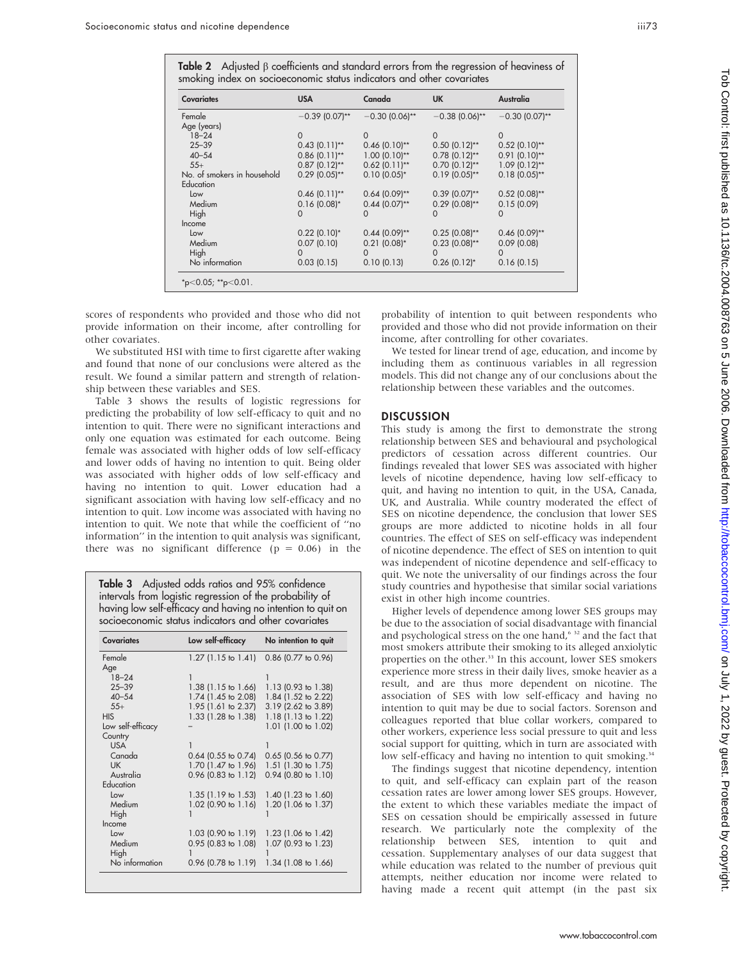| <b>Covariates</b>           | <b>USA</b>       | Canada           | <b>UK</b>          | Australia        |
|-----------------------------|------------------|------------------|--------------------|------------------|
| Female                      | $-0.39$ (0.07)** | $-0.30(0.06)$ ** | $-0.38(0.06)$ **   | $-0.30$ (0.07)** |
| Age (years)                 |                  |                  |                    |                  |
| $18 - 24$                   | 0                | 0                |                    |                  |
| $25 - 39$                   | $0.43(0.11)$ **  | $0.46$ (0.10)**  | $0.50(0.12)$ **    | $0.52$ (0.10)**  |
| $40 - 54$                   | $0.86(0.11)$ **  | $1.00(0.10)$ **  | $0.78$ $(0.12)$ ** | $0.91(0.10)$ **  |
| $55+$                       | $0.87(0.12)$ **  | $0.62$ (0.11)**  | $0.70(0.12)$ **    | $1.09(0.12)$ **  |
| No. of smokers in household | $0.29$ (0.05)**  | $0.10(0.05)^*$   | $0.19(0.05)$ **    | $0.18(0.05)$ **  |
| Education                   |                  |                  |                    |                  |
| Low                         | $0.46(0.11)$ **  | $0.64$ (0.09)**  | $0.39(0.07)$ **    | $0.52$ (0.08)**  |
| Medium                      | $0.16(0.08)*$    | $0.44$ (0.07)**  | $0.29$ (0.08)**    | 0.15(0.09)       |
| High                        | O                | O                | O                  | O                |
| Income                      |                  |                  |                    |                  |
| Low                         | $0.22$ (0.10)*   | $0.44$ (0.09)**  | $0.25(0.08)$ **    | $0.46$ (0.09)**  |
| Medium                      | 0.07(0.10)       | $0.21$ (0.08)*   | $0.23$ (0.08)**    | 0.09(0.08)       |
| High                        |                  |                  |                    |                  |
| No information              | 0.03(0.15)       | 0.10(0.13)       | $0.26$ (0.12)*     | 0.16(0.15)       |

scores of respondents who provided and those who did not provide information on their income, after controlling for other covariates.

We substituted HSI with time to first cigarette after waking and found that none of our conclusions were altered as the result. We found a similar pattern and strength of relationship between these variables and SES.

Table 3 shows the results of logistic regressions for predicting the probability of low self-efficacy to quit and no intention to quit. There were no significant interactions and only one equation was estimated for each outcome. Being female was associated with higher odds of low self-efficacy and lower odds of having no intention to quit. Being older was associated with higher odds of low self-efficacy and having no intention to quit. Lower education had a significant association with having low self-efficacy and no intention to quit. Low income was associated with having no intention to quit. We note that while the coefficient of ''no information'' in the intention to quit analysis was significant, there was no significant difference  $(p = 0.06)$  in the

Table 3 Adjusted odds ratios and 95% confidence intervals from logistic regression of the probability of having low self-efficacy and having no intention to quit on socioeconomic status indicators and other covariates

| <b>Covariates</b> | Low self-efficacy        | No intention to quit          |
|-------------------|--------------------------|-------------------------------|
| Female            | $1.27$ (1.15 to 1.41)    | 0.86 (0.77 to 0.96)           |
| Age               |                          |                               |
| $18 - 24$         |                          |                               |
| $25 - 39$         | $1.38$ (1.15 to 1.66)    | 1.13 (0.93 to 1.38)           |
| $40 - 54$         | $1.74$ (1.45 to 2.08)    | 1.84 (1.52 to 2.22)           |
| $.55+$            | $1.95$ (1.61 to 2.37)    | 3.19 (2.62 to 3.89)           |
| <b>HIS</b>        | 1.33 (1.28 to 1.38)      | $1.18(1.13 \text{ to } 1.22)$ |
| Low self-efficacy |                          | 1.01 (1.00 to 1.02)           |
| Country           |                          |                               |
| <b>USA</b>        |                          |                               |
| Canada            | $0.64$ (0.55 to 0.74)    | $0.65$ (0.56 to 0.77)         |
| <b>UK</b>         | $1.70$ (1.47 to 1.96)    | 1.51 (1.30 to 1.75)           |
| Australia         | $0.96$ (0.83 to 1.12)    | $0.94$ (0.80 to 1.10)         |
| Education         |                          |                               |
| low               | $1.35$ (1.19 to 1.53)    | 1.40 (1.23 to 1.60)           |
| Medium            | $1.02$ (0.90 to $1.16$ ) | 1.20 (1.06 to 1.37)           |
| High              |                          |                               |
| Income            |                          |                               |
| Low               | 1.03 (0.90 to 1.19)      | 1.23 (1.06 to 1.42)           |
| Medium            | $0.95$ (0.83 to 1.08)    | 1.07 (0.93 to 1.23)           |
| High              |                          |                               |
| No information    | $0.96$ (0.78 to 1.19)    | 1.34 (1.08 to 1.66)           |

probability of intention to quit between respondents who provided and those who did not provide information on their income, after controlling for other covariates.

We tested for linear trend of age, education, and income by including them as continuous variables in all regression models. This did not change any of our conclusions about the relationship between these variables and the outcomes.

#### **DISCUSSION**

This study is among the first to demonstrate the strong relationship between SES and behavioural and psychological predictors of cessation across different countries. Our findings revealed that lower SES was associated with higher levels of nicotine dependence, having low self-efficacy to quit, and having no intention to quit, in the USA, Canada, UK, and Australia. While country moderated the effect of SES on nicotine dependence, the conclusion that lower SES groups are more addicted to nicotine holds in all four countries. The effect of SES on self-efficacy was independent of nicotine dependence. The effect of SES on intention to quit was independent of nicotine dependence and self-efficacy to quit. We note the universality of our findings across the four study countries and hypothesise that similar social variations exist in other high income countries.

Higher levels of dependence among lower SES groups may be due to the association of social disadvantage with financial and psychological stress on the one hand,<sup>6</sup><sup>32</sup> and the fact that most smokers attribute their smoking to its alleged anxiolytic properties on the other.<sup>33</sup> In this account, lower SES smokers experience more stress in their daily lives, smoke heavier as a result, and are thus more dependent on nicotine. The association of SES with low self-efficacy and having no intention to quit may be due to social factors. Sorenson and colleagues reported that blue collar workers, compared to other workers, experience less social pressure to quit and less social support for quitting, which in turn are associated with low self-efficacy and having no intention to quit smoking.<sup>34</sup>

The findings suggest that nicotine dependency, intention to quit, and self-efficacy can explain part of the reason cessation rates are lower among lower SES groups. However, the extent to which these variables mediate the impact of SES on cessation should be empirically assessed in future research. We particularly note the complexity of the relationship between SES, intention to quit and cessation. Supplementary analyses of our data suggest that while education was related to the number of previous quit attempts, neither education nor income were related to having made a recent quit attempt (in the past six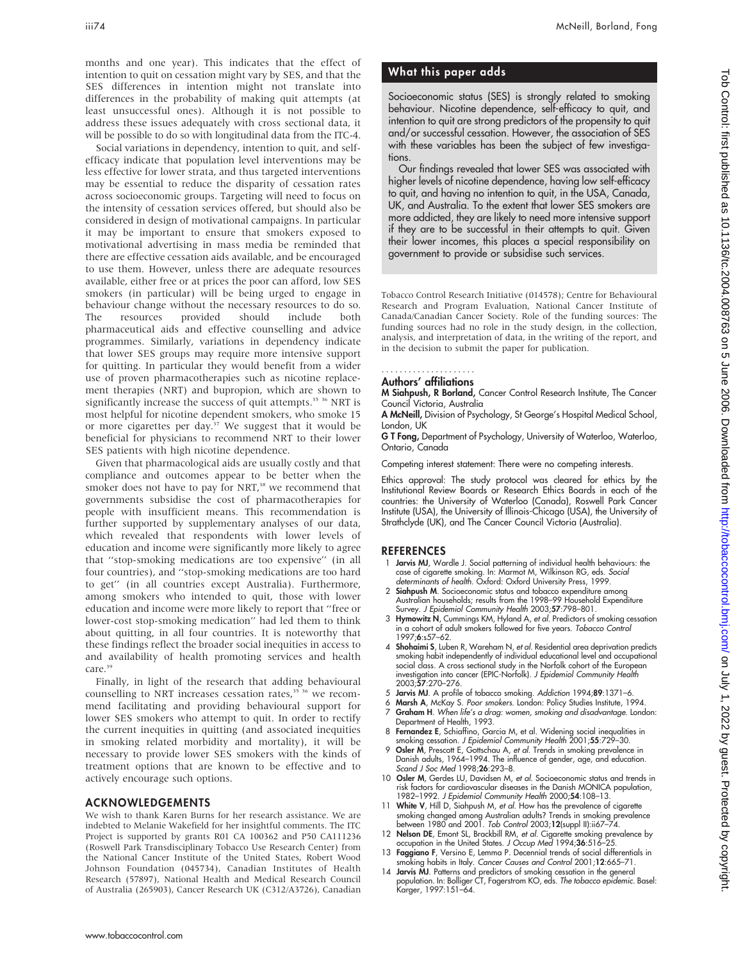months and one year). This indicates that the effect of intention to quit on cessation might vary by SES, and that the SES differences in intention might not translate into differences in the probability of making quit attempts (at least unsuccessful ones). Although it is not possible to address these issues adequately with cross sectional data, it will be possible to do so with longitudinal data from the ITC-4.

Social variations in dependency, intention to quit, and selfefficacy indicate that population level interventions may be less effective for lower strata, and thus targeted interventions may be essential to reduce the disparity of cessation rates across socioeconomic groups. Targeting will need to focus on the intensity of cessation services offered, but should also be considered in design of motivational campaigns. In particular it may be important to ensure that smokers exposed to motivational advertising in mass media be reminded that there are effective cessation aids available, and be encouraged to use them. However, unless there are adequate resources available, either free or at prices the poor can afford, low SES smokers (in particular) will be being urged to engage in behaviour change without the necessary resources to do so. The resources provided should include both pharmaceutical aids and effective counselling and advice programmes. Similarly, variations in dependency indicate that lower SES groups may require more intensive support for quitting. In particular they would benefit from a wider use of proven pharmacotherapies such as nicotine replacement therapies (NRT) and bupropion, which are shown to significantly increase the success of quit attempts.<sup>35</sup> <sup>36</sup> NRT is most helpful for nicotine dependent smokers, who smoke 15 or more cigarettes per day.37 We suggest that it would be beneficial for physicians to recommend NRT to their lower SES patients with high nicotine dependence.

Given that pharmacological aids are usually costly and that compliance and outcomes appear to be better when the smoker does not have to pay for NRT,<sup>38</sup> we recommend that governments subsidise the cost of pharmacotherapies for people with insufficient means. This recommendation is further supported by supplementary analyses of our data, which revealed that respondents with lower levels of education and income were significantly more likely to agree that ''stop-smoking medications are too expensive'' (in all four countries), and ''stop-smoking medications are too hard to get'' (in all countries except Australia). Furthermore, among smokers who intended to quit, those with lower education and income were more likely to report that ''free or lower-cost stop-smoking medication'' had led them to think about quitting, in all four countries. It is noteworthy that these findings reflect the broader social inequities in access to and availability of health promoting services and health care.<sup>39</sup>

Finally, in light of the research that adding behavioural counselling to NRT increases cessation rates,<sup>35 36</sup> we recommend facilitating and providing behavioural support for lower SES smokers who attempt to quit. In order to rectify the current inequities in quitting (and associated inequities in smoking related morbidity and mortality), it will be necessary to provide lower SES smokers with the kinds of treatment options that are known to be effective and to actively encourage such options.

#### ACKNOWLEDGEMENTS

We wish to thank Karen Burns for her research assistance. We are indebted to Melanie Wakefield for her insightful comments. The ITC Project is supported by grants R01 CA 100362 and P50 CA111236 (Roswell Park Transdisciplinary Tobacco Use Research Center) from the National Cancer Institute of the United States, Robert Wood Johnson Foundation (045734), Canadian Institutes of Health Research (57897), National Health and Medical Research Council of Australia (265903), Cancer Research UK (C312/A3726), Canadian

## What this paper adds

Socioeconomic status (SES) is strongly related to smoking behaviour. Nicotine dependence, self-efficacy to quit, and intention to quit are strong predictors of the propensity to quit and/or successful cessation. However, the association of SES with these variables has been the subject of few investigations.

Our findings revealed that lower SES was associated with higher levels of nicotine dependence, having low self-efficacy to quit, and having no intention to quit, in the USA, Canada, UK, and Australia. To the extent that lower SES smokers are more addicted, they are likely to need more intensive support if they are to be successful in their attempts to quit. Given their lower incomes, this places a special responsibility on government to provide or subsidise such services.

Tobacco Control Research Initiative (014578); Centre for Behavioural Research and Program Evaluation, National Cancer Institute of Canada/Canadian Cancer Society. Role of the funding sources: The funding sources had no role in the study design, in the collection, analysis, and interpretation of data, in the writing of the report, and in the decision to submit the paper for publication.

# .....................

# Authors' affiliations

M Siahpush, R Borland, Cancer Control Research Institute, The Cancer Council Victoria, Australia

A McNeill, Division of Psychology, St George's Hospital Medical School, London, UK

G T Fong, Department of Psychology, University of Waterloo, Waterloo, Ontario, Canada

Competing interest statement: There were no competing interests.

Ethics approval: The study protocol was cleared for ethics by the Institutional Review Boards or Research Ethics Boards in each of the countries: the University of Waterloo (Canada), Roswell Park Cancer Institute (USA), the University of Illinois-Chicago (USA), the University of Strathclyde (UK), and The Cancer Council Victoria (Australia).

### REFERENCES

- 1 Jarvis MJ, Wardle J. Social patterning of individual health behaviours: the case of cigarette smoking. In: Marmot M, Wilkinson RG, eds. *Social*<br>*determinants of health.* Oxford: Oxford University Press, 1999.
- 2 Siahpush M. Socioeconomic status and tobacco expenditure among Australian households; results from the 1998–99 Household Expenditure
- Survey. *J Epidemiol Community Health* 2003;**57**:798–801.<br>3 **Hymowitz N**, Cummings KM, Hyland A, *et al.* Predictors of smoking cessation in a cohort of adult smokers followed for five years. Tobacco Control 1997;6:s57–62.
- 4 Shohaimi S, Luben R, Wareham N, et al. Residential area deprivation predicts smoking habit independently of individual educational level and occupational social class. A cross sectional study in the Norfolk cohort of the European investigation into cancer (EPIC-Norfolk). J Epidemiol Community Health 2003;57:270–276.
- 5 Jarvis MJ. A profile of tobacco smoking. Addiction 1994;89:1371–6.
- 6 Marsh A, McKay S. Poor smokers. London: Policy Studies Institute, 1994.
- Graham H. When life's a drag: women, smoking and disadvantage. London: Department of Health, 1993.
- 8 Fernandez E, Schiaffino, Garcia M, et al. Widening social inequalities in smoking cessation. J Epidemiol Community Health 2001;55:729–30.
- 9 Osler M, Prescott E, Gottschau A, et al. Trends in smoking prevalence in Danish adults, 1964–1994. The influence of gender, age, and education. cand J Soc Med 1998;26:293-8.
- 10 Osler M, Gerdes LU, Davidsen M, et al. Socioeconomic status and trends in risk factors for cardiovascular diseases in the Danish MONICA population, 1982–1992. J Epidemiol Community Health 2000;54:108–13.
- 11 White V, Hill D, Siahpush M, et al. How has the prevalence of cigarette smoking changed among Australian adults? Trends in smoking prevalence<br>between 1980 and 2001. *Tob Control* 2003;**12**(suppl II):iió7–74.
- 12 Nelson DE, Emont SL, Brackbill RM, et al. Cigarette smoking prevalence by occupation in the United States. J Occup Med 1994;36:516–25.
- 13 **Faggiano F**, Versino E, Lemma P. Decennial trends of social differentials in smoking habits in Italy. Cancer Causes and Control 2001;12:665–71.
- 14 Jarvis MJ. Patterns and predictors of smoking cessation in the general population. In: Bolliger CT, Fagerstrom KO, eds. The tobacco epidemic. Basel: Karger, 1997:151–64.